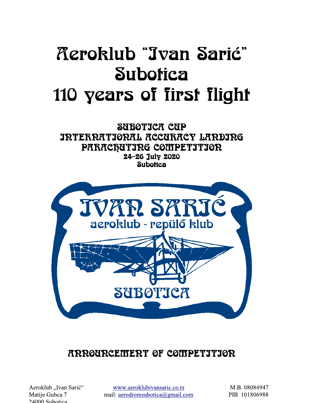# *Aeroklub "Jvan Sarić"* **Subotica** 110 years of first flight

SUBOTICA CUP **IRTERRATIORAL ACCURACY LARDIRG** PARACQUITRG COMPETITIOR 24-26 July 2020 **Subotica** 



## **ARROURCEMERT OF COMPETITIOR**

Aeroklub "Ivan Sarić" Matije Gubca 7 24000 Subotica

www.aeroklubivansaric.co.rs mail: aerodromsubotica@gmail.com

M.B. 08084947 PIB 101806988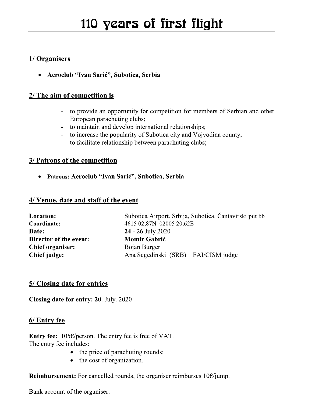#### 1/ Organisers

• Aeroclub "Ivan Sarić", Subotica, Serbia

#### 2/ The aim of competition is

- to provide an opportunity for competition for members of Serbian and other European parachuting clubs;
- to maintain and develop international relationships;
- to increase the popularity of Subotica city and Vojvodina county;
- to facilitate relationship between parachuting clubs;

#### **3/ Patrons of the competition**

• Patrons: Aeroclub "Ivan Sarić", Subotica, Serbia

#### 4/ Venue, date and staff of the event

| Location:               |
|-------------------------|
| Coordinate:             |
| Date:                   |
| Director of the event:  |
| <b>Chief organiser:</b> |
| Chief judge:            |

Subotica Airport. Srbija, Subotica, Čantavirski put bb 4615 02,87N 02005 20,62E 24 - 26 July 2020 **Momir Gabrić** Bojan Burger Ana Segedinski (SRB) FAI/CISM judge

#### 5/ Closing date for entries

Closing date for entry: 20. July. 2020

#### 6/ Entry fee

Entry fee:  $105 \in \sqrt{\text{person}}$ . The entry fee is free of VAT. The entry fee includes:

- the price of parachuting rounds;
- the cost of organization.  $\bullet$

**Reimbursement:** For cancelled rounds, the organiser reimburses  $10 \times$ jump.

Bank account of the organiser: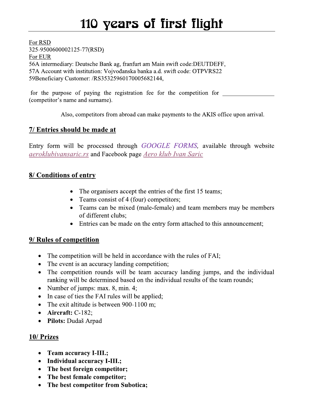For RSD 325-9500600002125-77(RSD) For EUR 56A intermediary: Deutsche Bank ag, franfurt am Main swift code: DEUTDEFF, 57A Account with institution: Vojvođanska banka a.d. swift code: OTPVRS22 59Beneficiary Customer: /RS35325960170005682144,

for the purpose of paying the registration fee for the competition for (competitor's name and surname).

Also, competitors from abroad can make payments to the AKIS office upon arrival.

#### 7/ Entries should be made at

Entry form will be processed through GOOGLE FORMS, available through website *aeroklubivansaric.rs* and Facebook page Aero klub Ivan Saric

#### 8/ Conditions of entry

- The organisers accept the entries of the first 15 teams;
- Teams consist of 4 (four) competitors;
- Teams can be mixed (male-female) and team members may be members of different clubs;
- Entries can be made on the entry form attached to this announcement;

#### 9/ Rules of competition

- The competition will be held in accordance with the rules of FAI;
- The event is an accuracy landing competition;
- The competition rounds will be team accuracy landing jumps, and the individual ranking will be determined based on the individual results of the team rounds;
- Number of jumps: max.  $8$ , min.  $4$ ;
- In case of ties the FAI rules will be applied;
- The exit altitude is between  $900-1100$  m;
- $\bullet$  Aircraft: C-182;
- Pilots: Dudaš Arpad

#### 10/ Prizes

- Team accuracy I-III.;
- Individual accuracy I-III.;
- The best foreign competitor;
- The best female competitor;
- The best competitor from Subotica;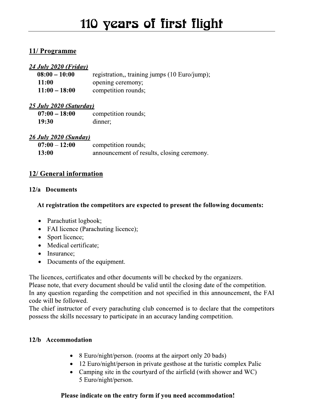#### 11/ Programme

#### 24 July 2020 (Friday)

| $08:00 - 10:00$ | registration,, training jumps (10 Euro/jump); |
|-----------------|-----------------------------------------------|
| <b>11:00</b>    | opening ceremony;                             |
| $11:00 - 18:00$ | competition rounds;                           |

#### 25 July 2020 (Saturday)

| $07:00 - 18:00$ | competition rounds; |
|-----------------|---------------------|
| <b>19:30</b>    | dinner;             |

#### 26 July 2020 (Sunday)

| $07:00 - 12:00$ | competition rounds;                        |
|-----------------|--------------------------------------------|
| <b>13:00</b>    | announcement of results, closing ceremony. |

#### 12/ General information

#### 12/a Documents

#### At registration the competitors are expected to present the following documents:

- Parachutist logbook;
- FAI licence (Parachuting licence);
- Sport licence;
- Medical certificate;
- Insurance;
- Documents of the equipment.  $\bullet$

The licences, certificates and other documents will be checked by the organizers.

Please note, that every document should be valid until the closing date of the competition. In any question regarding the competition and not specified in this announcement, the FAI code will be followed.

The chief instructor of every parachuting club concerned is to declare that the competitors possess the skills necessary to participate in an accuracy landing competition.

#### 12/b Accommodation

- 8 Euro/night/person. (rooms at the airport only 20 bads)
- 12 Euro/night/person in private gesthose at the turistic complex Palic
- Camping site in the courtyard of the airfield (with shower and WC) 5 Euro/night/person.

#### Please indicate on the entry form if you need accommodation!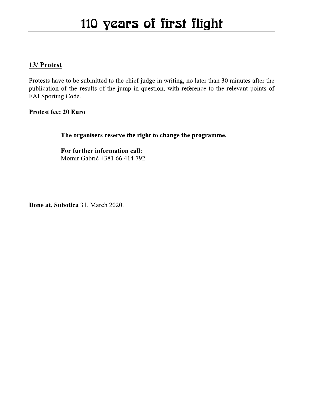### 13/ Protest

Protests have to be submitted to the chief judge in writing, no later than 30 minutes after the publication of the results of the jump in question, with reference to the relevant points of FAI Sporting Code.

#### Protest fee: 20 Euro

The organisers reserve the right to change the programme.

For further information call: Momir Gabrić +381 66 414 792

Done at, Subotica 31. March 2020.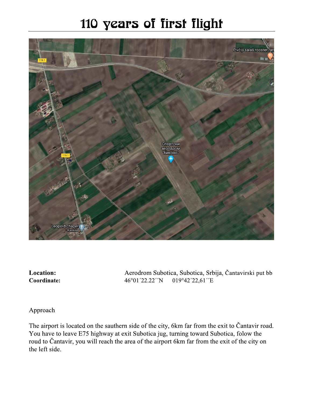# 110 years of first flight



**Location:** Coordinate: Aerodrom Subotica, Subotica, Srbija, Čantavirski put bb 46°01′22.22′′N 019°42'22,61''E

Approach

The airport is located on the sauthern side of the city, 6km far from the exit to Čantavir road. You have to leave E75 highway at exit Subotica jug, turning toward Subotica, folow the roud to Čantavir, you will reach the area of the airport 6km far from the exit of the city on the left side.